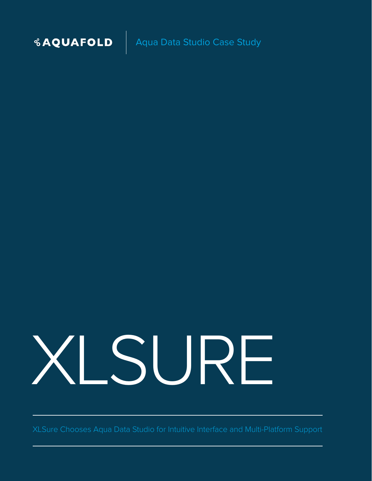

**& AQUAFOLD** | Aqua Data Studio Case Study

# XLSURE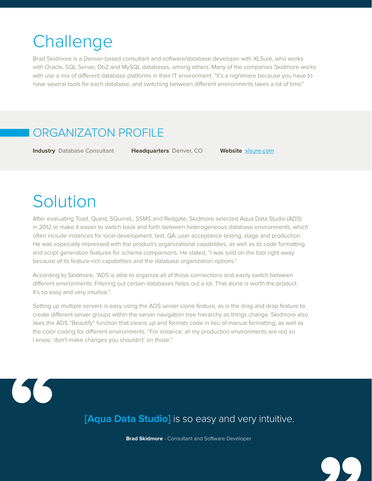## **Challenge**

Brad Skidmore is a Denver-based consultant and software/database developer with XLSure, who works with Oracle, SQL Server, Db2 and MySQL databases, among others. Many of the companies Skidmore works with use a mix of different database platforms in their IT environment. "It's a nightmare because you have to have several tools for each database, and switching between different environments takes a lot of time."

#### ORGANIZATON PROFILE

**Industry** Database Consultant **Headquarters** Denver, CO **Website** [xlsure.com](http://xlsure.com/)

## Solution

After evaluating Toad, Quest, SQuirreL, SSMS and Redgate, Skidmore selected Aqua Data Studio (ADS) in 2012 to make it easier to switch back and forth between heterogeneous database environments, which often include instances for local development, test, QA, user acceptance testing, stage and production. He was especially impressed with the product's organizational capabilities, as well as its code formatting and script generation features for schema comparisons. He stated, "I was sold on the tool right away because of its feature-rich capabilities and the database organization options."

According to Skidmore, "ADS is able to organize all of those connections and easily switch between different environments. Filtering out certain databases helps out a lot. That alone is worth the product. It's so easy and very intuitive."

Setting up multiple servers is easy using the ADS server clone feature, as is the drag and drop feature to create different server groups within the server navigation tree hierarchy as things change. Skidmore also likes the ADS "Beautify" function that cleans up and formats code in lieu of manual formatting, as well as the color coding for different environments. "For instance, all my production environments are red so I know, 'don't make changes you shouldn't' on those."



**[Aqua Data Studio]** is so easy and very intuitive.

**Brad Skidmore** - Consultant and Software Developer